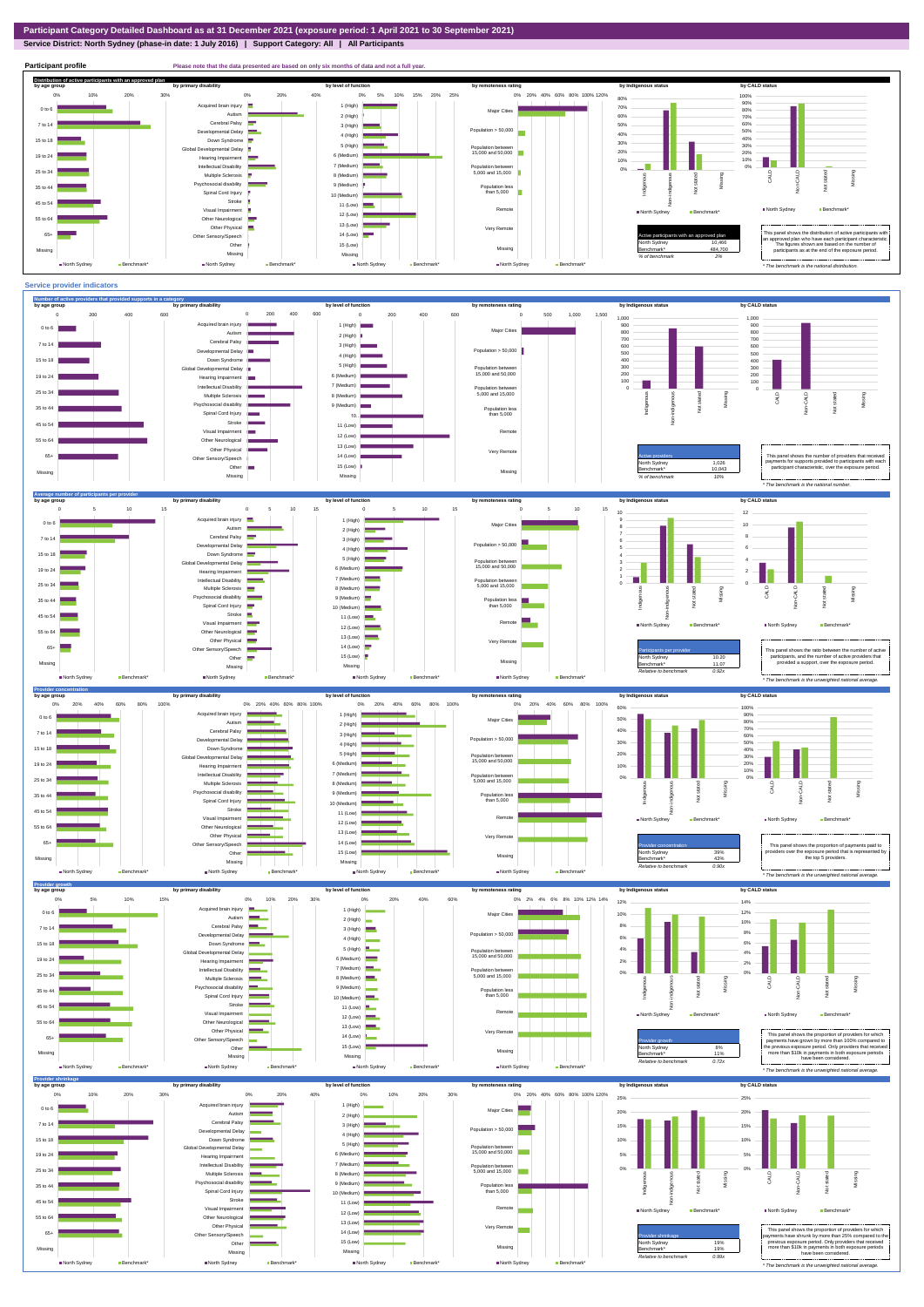**Service District: North Sydney (phase-in date: 1 July 2016) | Support Category: All | All Participants**



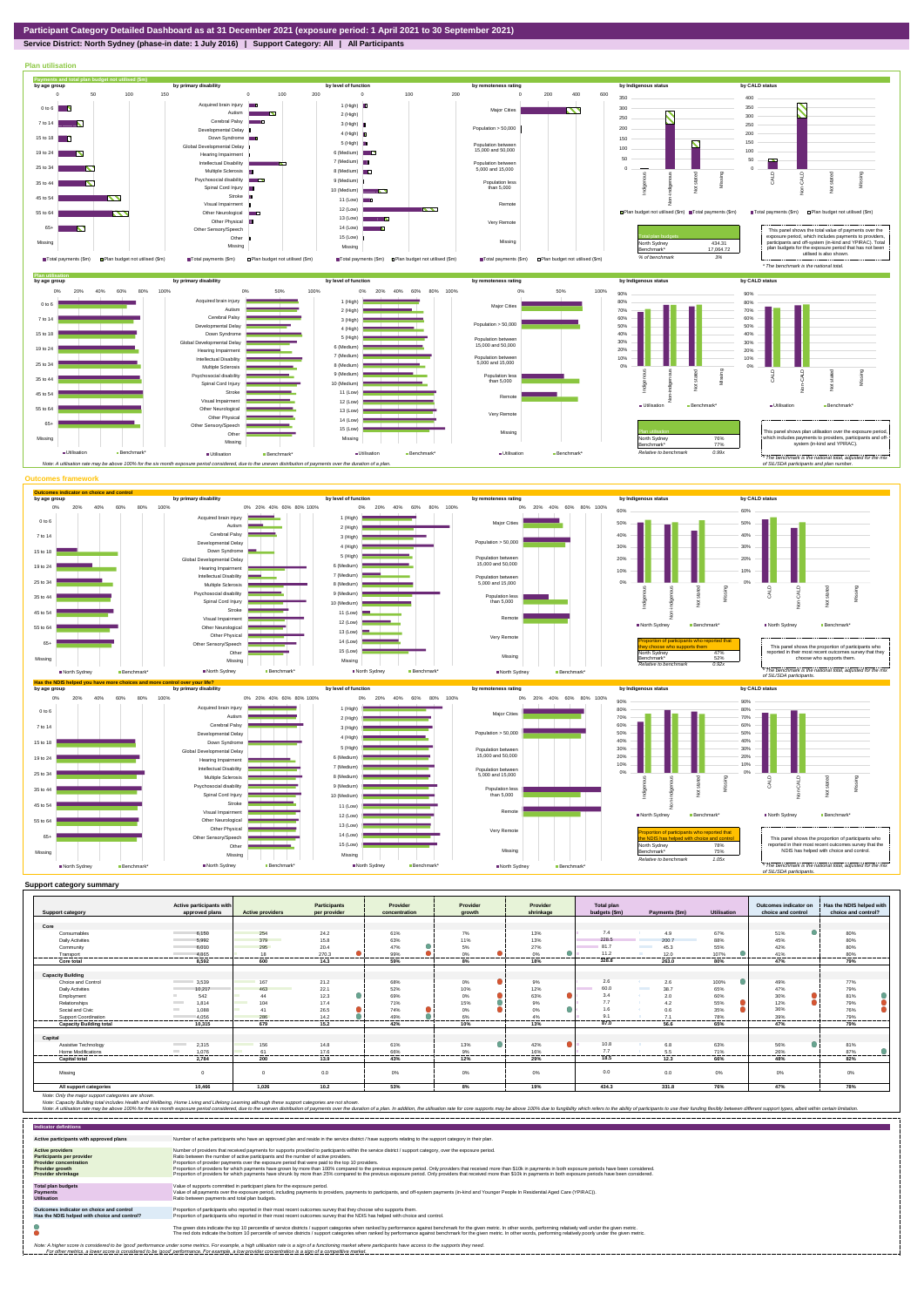## **Service District: North Sydney (phase-in date: 1 July 2016) | Support Category: All | All Participants**



|                                | Active participants with          |                                 | <b>Participants</b> | Provider       | Provider | Provider        | <b>Total plan</b> |                               |                | Outcomes indicator on | Has the NDIS helped with |
|--------------------------------|-----------------------------------|---------------------------------|---------------------|----------------|----------|-----------------|-------------------|-------------------------------|----------------|-----------------------|--------------------------|
| <b>Support category</b>        | approved plans                    | <b>Active providers</b>         | per provider        | concentration  | arowth   | shrinkage       | budgets (\$m)     | Payments (\$m)                | Utilisation    | choice and control    | choice and control?      |
|                                |                                   |                                 |                     |                |          |                 |                   |                               |                |                       |                          |
| Core                           |                                   |                                 |                     |                |          |                 | 7.4               |                               |                |                       |                          |
| Consumables                    | 6.150                             | 254                             | 24.2                | 61%            | 7%       | 13%             |                   | 4.9                           | 67%            | 51%                   | 80%                      |
| <b>Daily Activities</b>        | 5.992                             | 379<br><b>Contract Contract</b> | 15.8                | 63%            | 11%      | 13%             | 228.5             | 200.7                         | 88%            | 45%                   | 80%                      |
| Community                      | 6.010                             | 295                             | 20.4                | 47%            | 5%       | 27%             | 81.7              | <b>The Company</b><br>45.3    | 55%            | 42%                   | 80%                      |
| Transport                      | 4.865<br>----------               | 18<br>-------                   | 270.3<br>.          | 99%<br>------- | 0%<br>.  | 0%<br>.         | 11.2              | 12.0                          | 107%           | 41%<br>.              | 80%<br>-------           |
| Core total                     | 8.592                             | 600                             | 14.3                | 59%            | 8%       | 18%             | 328.8             | 263.0                         | 80%            | 47%                   | 79%                      |
|                                |                                   |                                 |                     |                |          |                 |                   |                               |                |                       |                          |
| <b>Capacity Building</b>       |                                   |                                 |                     |                |          |                 |                   |                               |                |                       |                          |
| Choice and Control             | 3,539                             | 167                             | 21.2                | 68%            | $0\%$    | 9%              | 2.6               | 2.6                           | 100%           | 49%                   | 77%                      |
| <b>Daily Activities</b>        | 10.217                            | 463                             | 22.1                | 52%            | 10%      | 12%             | 60.0              | <b>Contract State</b><br>38.7 | 65%            | 47%                   | 79%                      |
| Employment                     | 542                               | 44                              | 12.3                | 69%            | $0\%$    | 63%             | 3.4               | 2.0<br>-6                     | 60%            | 30%                   | 81%                      |
| Relationships                  | 1.814<br><b>Contract Contract</b> | 104                             | 17.4                | 71%            | 15%      | 9%              | 7.7               | 4.2                           | 55%            | 12%                   | 79%                      |
| Social and Civic               | <b>College</b><br>1,088           | 41                              | 26.5                | 74%            | $0\%$    | 0%              | 1.6               | 0.6                           | 35%            | 36%                   | 76%                      |
| Support Coordination           | 4.056                             | 286                             | 14.2                | 49%            | 6%       | 4%              | $\Omega$          | 7.1                           | 78%            | 39%                   | 79%                      |
| <b>Capacity Building total</b> | 10.315                            | ------<br>679                   | --------<br>15.2    | .<br>42%       | .<br>10% | --------<br>13% | 87.0              | 56.6                          | -------<br>65% | --------<br>47%       | <br>79%                  |
|                                |                                   |                                 |                     |                |          |                 |                   |                               |                |                       |                          |
| Capital                        |                                   |                                 |                     |                |          |                 |                   |                               |                |                       |                          |
| Assistive Technology           | <b>Contract Contract</b><br>2.315 | 156                             | 14.8                | 61%            | 13%      | 42%             | 10.8              | 6.8                           | 63%            | 56%                   | 81%                      |
| Home Modifications             | 1.076<br><b>Contract</b>          | 61                              | 17.6                | 66%            | 9%       | 16%             | 7.7               | 5.5                           | 71%            | 26%                   | 87%                      |
| <b>Capital total</b>           | 2.784                             | 200                             | 13.9                | 43%            | 12%      | 29%             | 18.5              | 12.3                          | 66%            | 48%                   | 82%                      |
| Missina                        | $\Omega$                          | $\Omega$                        | 0.0                 | 0%             | 0%       | 0%              | 0.0               | 0.0                           | 0%             | 0%                    | 0%                       |
| All support categories         | 10,466                            | 1.026                           | 10.2                | 53%            | 8%       | 19%             | 434.3             | 331.8                         | 76%            | 47%                   | 78%                      |

Note: Only the major support categories are shown.<br>Note: Capacity Building total individual Wellbeing, Home Living and Lifelong Learning although these support categories are not shown.<br>Note: A utilisation rate may be abov

| <b>Indicator definitions</b>                                                                                                                        |                                                                                                                                                                                                                                                                                                                                                                                                                                                                                                                                                                                                                                                                                                                                                                                                                 |
|-----------------------------------------------------------------------------------------------------------------------------------------------------|-----------------------------------------------------------------------------------------------------------------------------------------------------------------------------------------------------------------------------------------------------------------------------------------------------------------------------------------------------------------------------------------------------------------------------------------------------------------------------------------------------------------------------------------------------------------------------------------------------------------------------------------------------------------------------------------------------------------------------------------------------------------------------------------------------------------|
| Active participants with approved plans                                                                                                             | Number of active participants who have an approved plan and reside in the service district / have supports relating to the support category in their plan.                                                                                                                                                                                                                                                                                                                                                                                                                                                                                                                                                                                                                                                      |
| <b>Active providers</b><br><b>Participants per provider</b><br><b>Provider concentration</b><br><b>Provider growth</b><br><b>Provider shrinkage</b> | Number of providers that received payments for supports provided to participants within the service district / support category, over the exposure period.<br>Ratio between the number of active participants and the number of active providers.<br>Proportion of provider payments over the exposure period that were paid to the top 10 providers.<br>Proportion of providers for which payments have grown by more than 100% compared to the previous exposure period. Only providers that received more than \$10k in payments in both exposure periods have been considered.<br>Proportion of providers for which payments have shrunk by more than 25% compared to the previous exposure period. Only providers that received more than \$10k in payments in both exposure periods have been considered. |
| <b>Total plan budgets</b><br><b>Payments</b><br><b>Utilisation</b>                                                                                  | Value of supports committed in participant plans for the exposure period.<br>Value of all payments over the exposure period, including payments to providers, payments to participants, and off-system payments (in-kind and Younger People In Residential Aged Care (YPIRAC)).<br>Ratio between payments and total plan budgets.                                                                                                                                                                                                                                                                                                                                                                                                                                                                               |
| Outcomes indicator on choice and control<br>Has the NDIS helped with choice and control?                                                            | Proportion of participants who reported in their most recent outcomes survey that they choose who supports them.<br>Proportion of participants who reported in their most recent outcomes survey that the NDIS has helped with choice and control.                                                                                                                                                                                                                                                                                                                                                                                                                                                                                                                                                              |
|                                                                                                                                                     | The green dots indicate the top 10 percentile of service districts / support categories when ranked by performance against benchmark for the given metric. In other words, performing relatively well under the given metric.<br>The red dots indicate the bottom 10 percentile of service districts / support categories when ranked by performance against benchmark for the given metric. In other words, performing relatively poorly under the given metri                                                                                                                                                                                                                                                                                                                                                 |
|                                                                                                                                                     | Note: A higher score is considered to be 'good' performance under some metrics. For example, a high utilisation rate is a sign of a functioning market where participants have access to the supports they need.<br>For other metrics, a lower score is considered to be 'good' performance. For example, a low provider concentration is a sign of a competitive market.                                                                                                                                                                                                                                                                                                                                                                                                                                       |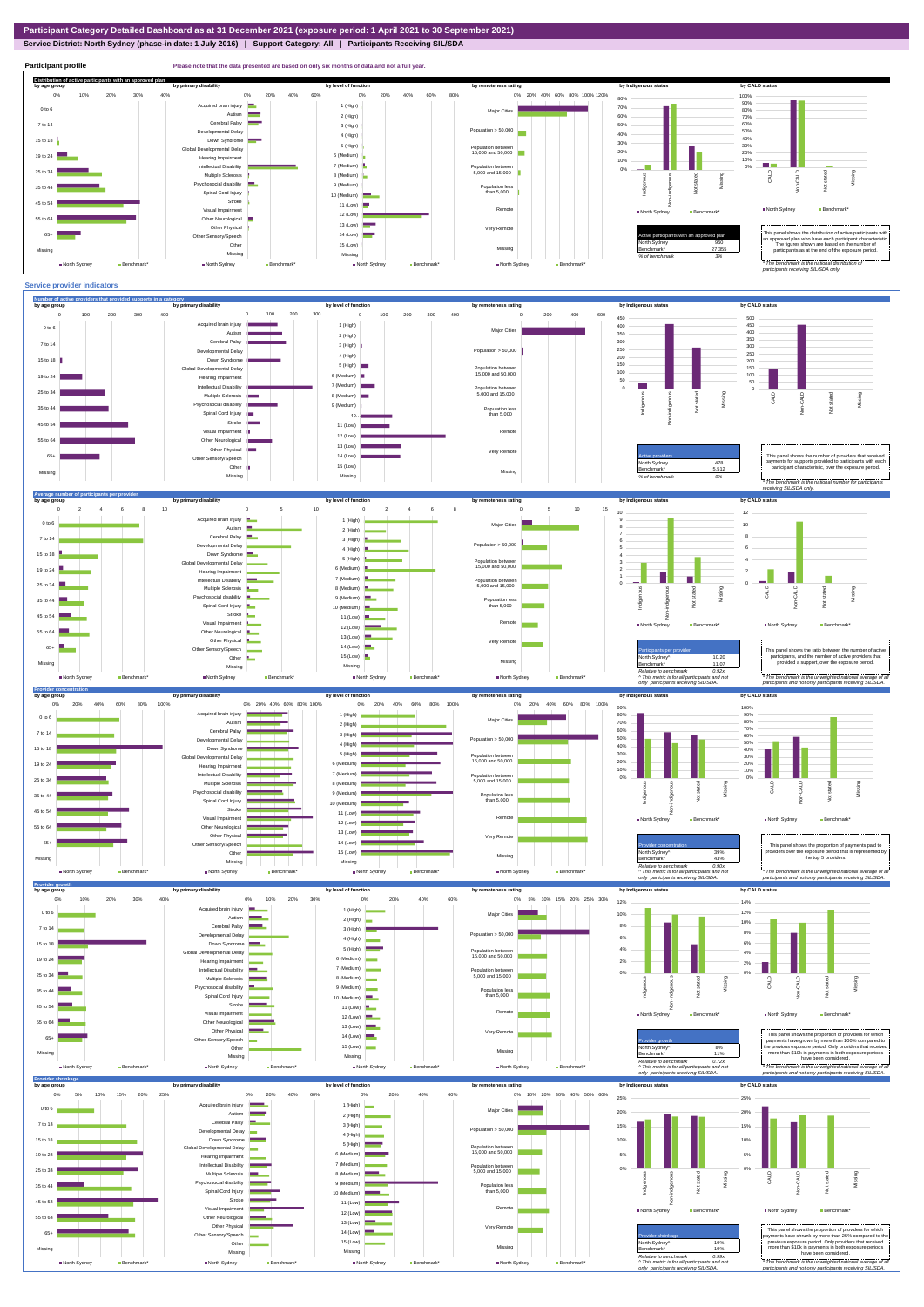**Service District: North Sydney (phase-in date: 1 July 2016) | Support Category: All | Participants Receiving SIL/SDA**



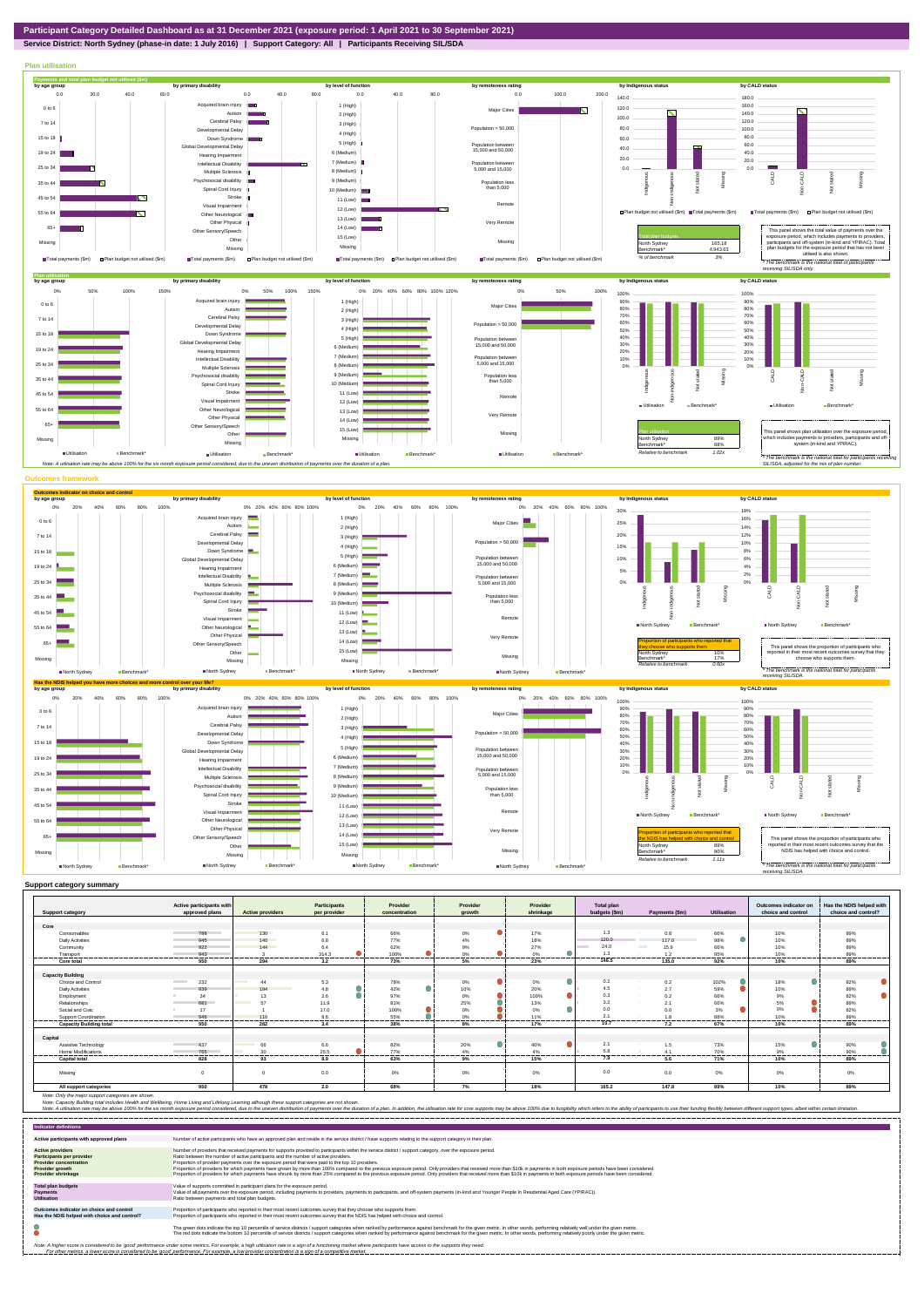

**Service District: North Sydney (phase-in date: 1 July 2016) | Support Category: All | Participants Receiving SIL/SDA**



|                                | Active participants with        |                                | Participants | Provider                | Provider      | Provider  | Total plan    |                         |                    | Outcomes indicator on | Has the NDIS helped with |
|--------------------------------|---------------------------------|--------------------------------|--------------|-------------------------|---------------|-----------|---------------|-------------------------|--------------------|-----------------------|--------------------------|
| <b>Support category</b>        | approved plans                  | <b>Active providers</b>        | per provider | concentration           | arowth        | shrinkage | budgets (\$m) | Payments (\$m)          | <b>Utilisation</b> | choice and control    | choice and control?      |
|                                |                                 |                                |              |                         |               |           |               |                         |                    |                       |                          |
| Core                           |                                 |                                |              |                         |               |           |               |                         |                    |                       |                          |
| Consumables                    | 788                             | 130                            | 6.1          | 66%                     | 0%            | 17%       | 1.3           | 0.8                     | 66%                | 10%                   | 89%                      |
| <b>Daily Activities</b>        | 945                             | 140                            | 6.8          | 77%                     | 4%            | 18%       | 120.0         | 117.0                   | 98%                | 10%                   | 89%                      |
| Community                      | 922                             | 144                            | 6.4          | 62%                     | 9%            | 27%       | 24.0          | <b>Contract</b><br>15.9 | 66%                | 10%                   | 89%                      |
| Transport<br>-----------       | 943<br>---------------------    | .                              | 314.3<br>.   | 100%<br>.<br>---------- | 0%<br>.       | 0%<br>    | .             | 1.2<br>                 | 95%<br>            | 10%<br>.              | 89%<br>---------         |
| Core total                     | 950                             | 294                            | 3.2          | 73%                     | 5%            | 23%       | 146.5         | 135.0                   | 92%                | 10%                   | 89%                      |
|                                |                                 |                                |              |                         |               |           |               |                         |                    |                       |                          |
| <b>Capacity Building</b>       |                                 |                                |              |                         |               |           |               |                         |                    |                       |                          |
| Choice and Control             | 232<br><b>Contract Contract</b> | 44                             | 5.3          | 78%                     | 0%            | 0%        | 0.2           | 0.2                     | 102%               | 18%<br>o              | 82%                      |
| <b>Daily Activities</b>        | 939                             | 194                            | 4.8          | 42%                     | 10%           | 20%       | 4.5           | 2.7                     | 59%                | 10%                   | 89%                      |
| Employment                     | 34                              | 13                             | 2.6          | 97%                     | 0%            | 100%      | 0.3           | 0.2<br><b>SALE</b>      | 66%                | 9%                    | 82%                      |
| Relationships                  | 681                             | 57<br><b>Contract Contract</b> | 11.9         | 81%                     | 25%           | 13%       | 3.2           | 2.1                     | 66%                | 5%                    | 89%                      |
| Social and Civic               | 17                              |                                | 17.0         | 100%                    | 0%            | 0%        | 0.0           | 0 <sub>0</sub>          | 3%                 | 0%                    | 82%                      |
| Support Coordination           | 946                             | 110                            | 8.6          | 55%                     | 0%            | 11%       | 2.1           |                         | 88%                | 10%                   | 89%                      |
| <b>Capacity Building total</b> | .<br>950                        | ------<br>282                  | .<br>3.4     | 38%                     | -------<br>8% | 17%       | 10.7          | 7.2                     | 67%                | .<br>10%              | -------<br>89%           |
|                                |                                 |                                |              |                         |               |           |               |                         |                    |                       |                          |
| Capital                        |                                 |                                |              |                         |               |           |               |                         |                    |                       |                          |
| Assistive Technology           | 437                             | 66                             | 6.6          | 82%                     | 20%<br>o      | 40%       | 2.1           | 1.5                     | 73%                | 15%                   | 90%                      |
| <b>Home Modifications</b>      | 765                             | 30                             | 25.5         | 77%                     | 4%            | 4%        | 5.8           |                         | 70%                | 9%                    | 90%                      |
| <b>Capital total</b>           | 828                             | 93                             | 8.9          | 63%                     | 9%            | 15%       | 7.9           | 5.6                     | 71%                | 10%                   | 89%                      |
| Missina                        |                                 | $\Omega$                       | 0.0          | 0%                      | 0%            | 0%        | 0.0           | 0.0                     | $0\%$              | 0%                    | 0%                       |
| All support categories         | 950                             | 478                            | 2.0          | 68%                     | 7%            | 18%       | 165.2         | 147.8                   | 89%                | 10%                   | 89%                      |

Note: Only the major support categories are shown.<br>Note: Capacity Building total individual Wellbeing, Home Living and Lifelong Learning although these support categories are not shown.<br>Note: A utilisation rate may be abov

| <b>Indicator definitions</b>                                                                                                                 |                                                                                                                                                                                                                                                                                                                                                                                                                                                                                                                                                                                                                                                                                                                                                                                                                 |
|----------------------------------------------------------------------------------------------------------------------------------------------|-----------------------------------------------------------------------------------------------------------------------------------------------------------------------------------------------------------------------------------------------------------------------------------------------------------------------------------------------------------------------------------------------------------------------------------------------------------------------------------------------------------------------------------------------------------------------------------------------------------------------------------------------------------------------------------------------------------------------------------------------------------------------------------------------------------------|
| Active participants with approved plans                                                                                                      | Number of active participants who have an approved plan and reside in the service district / have supports relating to the support category in their plan.                                                                                                                                                                                                                                                                                                                                                                                                                                                                                                                                                                                                                                                      |
| <b>Active providers</b><br><b>Participants per provider</b><br><b>Provider concentration</b><br>Provider growth<br><b>Provider shrinkage</b> | Number of providers that received payments for supports provided to participants within the service district / support category, over the exposure period.<br>Ratio between the number of active participants and the number of active providers.<br>Proportion of provider payments over the exposure period that were paid to the top 10 providers.<br>Proportion of providers for which payments have grown by more than 100% compared to the previous exposure period. Only providers that received more than \$10k in payments in both exposure periods have been considered.<br>Proportion of providers for which payments have shrunk by more than 25% compared to the previous exposure period. Only providers that received more than \$10k in payments in both exposure periods have been considered. |
| <b>Total plan budgets</b><br>Payments<br><b>Utilisation</b>                                                                                  | Value of supports committed in participant plans for the exposure period.<br>Value of all payments over the exposure period, including payments to providers, payments to participants, and off-system payments (in-kind and Younger People In Residential Aged Care (YPIRAC)).<br>Ratio between payments and total plan budgets.                                                                                                                                                                                                                                                                                                                                                                                                                                                                               |
| Outcomes indicator on choice and control<br>Has the NDIS helped with choice and control?                                                     | Proportion of participants who reported in their most recent outcomes survey that they choose who supports them.<br>Proportion of participants who reported in their most recent outcomes survey that the NDIS has helped with choice and control.                                                                                                                                                                                                                                                                                                                                                                                                                                                                                                                                                              |
|                                                                                                                                              | The green dots indicate the top 10 percentile of service districts / support categories when ranked by performance against benchmark for the given metric. In other words, performing relatively well under the given metric.<br>The red dots indicate the bottom 10 percentile of service districts / support categories when ranked by performance against benchmark for the given metric. In other words, performing relatively poorly under the given metri                                                                                                                                                                                                                                                                                                                                                 |
|                                                                                                                                              | Note: A higher score is considered to be 'good' performance under some metrics. For example, a high utilisation rate is a sign of a functioning market where participants have access to the supports they need.<br>For other metrics, a lower score is considered to be 'good' performance. For example, a low provider concentration is a sign of a competitive market.                                                                                                                                                                                                                                                                                                                                                                                                                                       |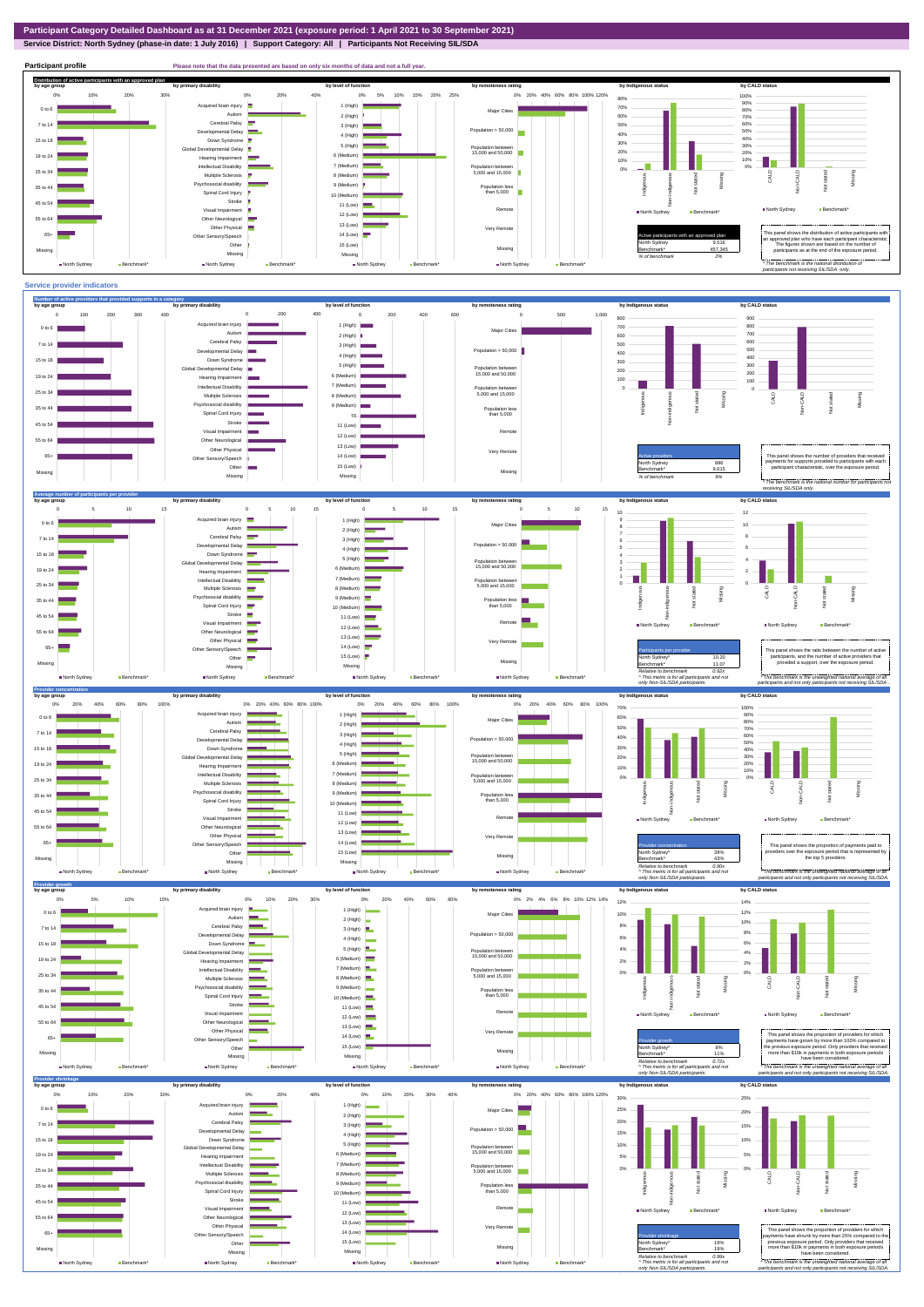## **Service District: North Sydney (phase-in date: 1 July 2016) | Support Category: All | Participants Not Receiving SIL/SDA**

**Participant profile Please note that the data presented are based on only six months of data and not a full year. Distribution of active participants with an approved plan** by age group by primary disability by remoteness rating by hdigenous status by CALD status 0% 5% 10% 15% 20% 25% 0% 20% 40% 60% 80% 100% 120% 0% 10% 20% 30% 0% 20% 40% 80% 100% d brain injury 90% 1 (High)  $\blacksquare$ 70% - 1 0 to 6 Major Cities 80% Autism **I** 2 (High) 60% 70% Cerebral Palsy 60% 7 to 14 3 (High) 50% Developmental Delay Population > 50,000 r. 40% 4 (High) 40% 50% 15 to 18 Down Syndrome 5 (High) 30% 30% Global Developmental Delay Population between 15,000 and 50,000 20% 6 (Medium) 10% 20% 19 to 24 Hearing Impairment 10% T۳ 7 (Medium) Intellectual Disability  $\mathcal{L}^{\mathcal{L}}$ 0% Population between 5,000 and 15,000 0% Missing 25 to 34 Multiple Sclerosis CALD Non-CALD 8 (Medium) ndiaenous Non-indigenous .<br>cial disability Indigenous Missing 9 (Medium) 35 to 44 Population less than 5,000  $\frac{5}{2}$  $\frac{1}{2}$ Spinal Cord Injury 10 (Medium) Stroke 45 to 54 11 (Low) å North Sydney Benchmark Visual Impairment Remote North Sydney Benchmark\* 12 (Low) 55 to 64 Other Neurological 13 (Low) Other Physical Very Remote Active participants with an approved plan This panel shows the distribution of active participants with an approved plan who have each participant characteristic. 65+ Sensory/Speech 14 (Low) Other 15 (Low) North Sydney 9,516 The figures shown are based on the number of participants as at the end of the exposure period. Missing 457,345 Missing Missing Missing *% of benchmark 2% The benchmark is the natio participants not receiving SIL/SDA only.* North Sydney Benchmark\* North Sydney Benchmark\* North Sydney Benchmark North Sydney Ben